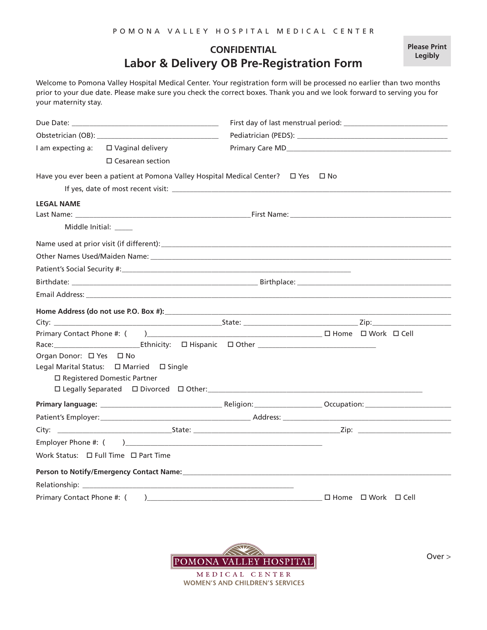## **CONFIDENTIAL Labor & Delivery OB Pre-Registration Form**

Welcome to Pomona Valley Hospital Medical Center. Your registration form will be processed no earlier than two months prior to your due date. Please make sure you check the correct boxes. Thank you and we look forward to serving you for your maternity stay.

|                            | I am expecting a: □ Vaginal delivery                                               |  |  |                                                                                                                                                                                                                                |
|----------------------------|------------------------------------------------------------------------------------|--|--|--------------------------------------------------------------------------------------------------------------------------------------------------------------------------------------------------------------------------------|
|                            | $\Box$ Cesarean section                                                            |  |  |                                                                                                                                                                                                                                |
|                            | Have you ever been a patient at Pomona Valley Hospital Medical Center?  □ Yes □ No |  |  |                                                                                                                                                                                                                                |
|                            |                                                                                    |  |  |                                                                                                                                                                                                                                |
| <b>LEGAL NAME</b>          |                                                                                    |  |  |                                                                                                                                                                                                                                |
|                            |                                                                                    |  |  |                                                                                                                                                                                                                                |
|                            | Middle Initial:                                                                    |  |  |                                                                                                                                                                                                                                |
|                            |                                                                                    |  |  |                                                                                                                                                                                                                                |
|                            |                                                                                    |  |  |                                                                                                                                                                                                                                |
|                            |                                                                                    |  |  |                                                                                                                                                                                                                                |
|                            |                                                                                    |  |  |                                                                                                                                                                                                                                |
|                            |                                                                                    |  |  |                                                                                                                                                                                                                                |
|                            |                                                                                    |  |  | Home Address (do not use P.O. Box #): Note and the set of the set of the set of the set of the set of the set of the set of the set of the set of the set of the set of the set of the set of the set of the set of the set of |
|                            |                                                                                    |  |  |                                                                                                                                                                                                                                |
|                            |                                                                                    |  |  |                                                                                                                                                                                                                                |
|                            |                                                                                    |  |  |                                                                                                                                                                                                                                |
| Organ Donor: □ Yes □ No    |                                                                                    |  |  |                                                                                                                                                                                                                                |
|                            | Legal Marital Status: □ Married □ Single                                           |  |  |                                                                                                                                                                                                                                |
|                            | □ Registered Domestic Partner                                                      |  |  |                                                                                                                                                                                                                                |
|                            |                                                                                    |  |  |                                                                                                                                                                                                                                |
|                            |                                                                                    |  |  |                                                                                                                                                                                                                                |
|                            |                                                                                    |  |  | Patient's Employer: example and the example of Address: Address: Address: Address: Address: Address: Address: Address: Address: Address: Address: Address: Address: Address: Address: Address: Address: Address: Address: Addr |
|                            |                                                                                    |  |  |                                                                                                                                                                                                                                |
|                            |                                                                                    |  |  |                                                                                                                                                                                                                                |
|                            |                                                                                    |  |  |                                                                                                                                                                                                                                |
|                            |                                                                                    |  |  |                                                                                                                                                                                                                                |
|                            |                                                                                    |  |  |                                                                                                                                                                                                                                |
| Primary Contact Phone #: ( |                                                                                    |  |  | $\Box$ Home $\Box$ Work $\Box$ Cell                                                                                                                                                                                            |